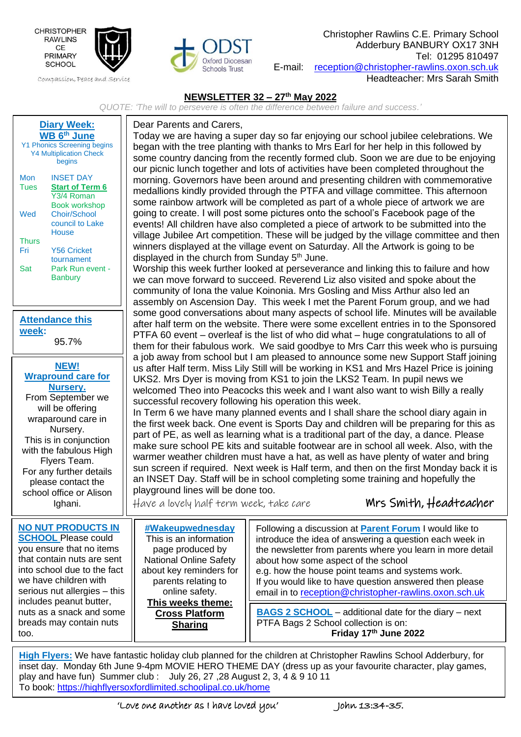

Compassion, Peace and Service



Christopher Rawlins C.E. Primary School Adderbury BANBURY OX17 3NH Tel: 01295 810497 E-mail: [reception@christopher-rawlins.oxon.sch.uk](mailto:reception@christopher-rawlins.oxon.sch.uk) Headteacher: Mrs Sarah Smith

## **NEWSLETTER 32 – 27 th May 2022**

*QUOTE: 'The will to persevere is often the difference between failure and success.'*

| <b>Diary Week:</b><br><b>WB 6th June</b><br><b>Y1 Phonics Screening begins</b><br><b>Y4 Multiplication Check</b><br>begins<br><b>INSET DAY</b><br>Mon<br><b>Tues</b><br><b>Start of Term 6</b><br>Y <sub>3</sub> /4 Roman<br><b>Book workshop</b><br>Choir/School<br>Wed<br>council to Lake<br>House<br><b>Thurs</b><br><b>Y56 Cricket</b><br>Fri<br>tournament<br>Park Run event -<br>Sat<br><b>Banbury</b> | Dear Parents and Carers,<br>Today we are having a super day so far enjoying our school jubilee celebrations. We<br>began with the tree planting with thanks to Mrs Earl for her help in this followed by<br>some country dancing from the recently formed club. Soon we are due to be enjoying<br>our picnic lunch together and lots of activities have been completed throughout the<br>morning. Governors have been around and presenting children with commemorative<br>medallions kindly provided through the PTFA and village committee. This afternoon<br>some rainbow artwork will be completed as part of a whole piece of artwork we are<br>going to create. I will post some pictures onto the school's Facebook page of the<br>events! All children have also completed a piece of artwork to be submitted into the<br>village Jubilee Art competition. These will be judged by the village committee and then<br>winners displayed at the village event on Saturday. All the Artwork is going to be<br>displayed in the church from Sunday 5 <sup>th</sup> June.<br>Worship this week further looked at perseverance and linking this to failure and how<br>we can move forward to succeed. Reverend Liz also visited and spoke about the<br>community of Iona the value Koinonia. Mrs Gosling and Miss Arthur also led an<br>assembly on Ascension Day. This week I met the Parent Forum group, and we had |                                                                                                                                                                                                                                                                                                                                                                                                                                                                                                                                       |  |  |  |  |
|--------------------------------------------------------------------------------------------------------------------------------------------------------------------------------------------------------------------------------------------------------------------------------------------------------------------------------------------------------------------------------------------------------------|-------------------------------------------------------------------------------------------------------------------------------------------------------------------------------------------------------------------------------------------------------------------------------------------------------------------------------------------------------------------------------------------------------------------------------------------------------------------------------------------------------------------------------------------------------------------------------------------------------------------------------------------------------------------------------------------------------------------------------------------------------------------------------------------------------------------------------------------------------------------------------------------------------------------------------------------------------------------------------------------------------------------------------------------------------------------------------------------------------------------------------------------------------------------------------------------------------------------------------------------------------------------------------------------------------------------------------------------------------------------------------------------------------------------------|---------------------------------------------------------------------------------------------------------------------------------------------------------------------------------------------------------------------------------------------------------------------------------------------------------------------------------------------------------------------------------------------------------------------------------------------------------------------------------------------------------------------------------------|--|--|--|--|
| <b>Attendance this</b><br>week:<br>95.7%                                                                                                                                                                                                                                                                                                                                                                     |                                                                                                                                                                                                                                                                                                                                                                                                                                                                                                                                                                                                                                                                                                                                                                                                                                                                                                                                                                                                                                                                                                                                                                                                                                                                                                                                                                                                                         | some good conversations about many aspects of school life. Minutes will be available<br>after half term on the website. There were some excellent entries in to the Sponsored<br>PTFA 60 event – overleaf is the list of who did what – huge congratulations to all of<br>them for their fabulous work. We said goodbye to Mrs Carr this week who is pursuing                                                                                                                                                                         |  |  |  |  |
| <b>NEW!</b><br><b>Wrapround care for</b><br>Nursery.<br>From September we<br>will be offering<br>wraparound care in<br>Nursery.<br>This is in conjunction<br>with the fabulous High<br>Flyers Team.<br>For any further details<br>please contact the<br>school office or Alison<br>Ighani.                                                                                                                   | a job away from school but I am pleased to announce some new Support Staff joining<br>us after Half term. Miss Lily Still will be working in KS1 and Mrs Hazel Price is joining<br>UKS2. Mrs Dyer is moving from KS1 to join the LKS2 Team. In pupil news we<br>welcomed Theo into Peacocks this week and I want also want to wish Billy a really<br>successful recovery following his operation this week.<br>In Term 6 we have many planned events and I shall share the school diary again in<br>the first week back. One event is Sports Day and children will be preparing for this as<br>part of PE, as well as learning what is a traditional part of the day, a dance. Please<br>make sure school PE kits and suitable footwear are in school all week. Also, with the<br>warmer weather children must have a hat, as well as have plenty of water and bring<br>sun screen if required. Next week is Half term, and then on the first Monday back it is<br>an INSET Day. Staff will be in school completing some training and hopefully the<br>playground lines will be done too.<br>Mrs Smith, Headteacher<br>Have a lovely half term week, take care                                                                                                                                                                                                                                                          |                                                                                                                                                                                                                                                                                                                                                                                                                                                                                                                                       |  |  |  |  |
| <b>NO NUT PRODUCTS IN</b><br><b>SCHOOL Please could</b><br>you ensure that no items<br>that contain nuts are sent<br>into school due to the fact<br>we have children with<br>serious nut allergies - this<br>includes peanut butter,<br>nuts as a snack and some<br>breads may contain nuts<br>too.                                                                                                          | #Wakeupwednesday<br>This is an information<br>page produced by<br><b>National Online Safety</b><br>about key reminders for<br>parents relating to<br>online safety.<br>This weeks theme:<br><b>Cross Platform</b><br><b>Sharing</b>                                                                                                                                                                                                                                                                                                                                                                                                                                                                                                                                                                                                                                                                                                                                                                                                                                                                                                                                                                                                                                                                                                                                                                                     | Following a discussion at <b>Parent Forum</b> I would like to<br>introduce the idea of answering a question each week in<br>the newsletter from parents where you learn in more detail<br>about how some aspect of the school<br>e.g. how the house point teams and systems work.<br>If you would like to have question answered then please<br>email in to reception@christopher-rawlins.oxon.sch.uk<br><b>BAGS 2 SCHOOL</b> - additional date for the diary - next<br>PTFA Bags 2 School collection is on:<br>Friday 17th June 2022 |  |  |  |  |

**High Flyers:** We have fantastic holiday club planned for the children at Christopher Rawlins School Adderbury, for inset day. Monday 6th June 9-4pm MOVIE HERO THEME DAY (dress up as your favourite character, play games, play and have fun) Summer club : July 26, 27 ,28 August 2, 3, 4 & 9 10 11 To book:<https://highflyersoxfordlimited.schoolipal.co.uk/home>

j